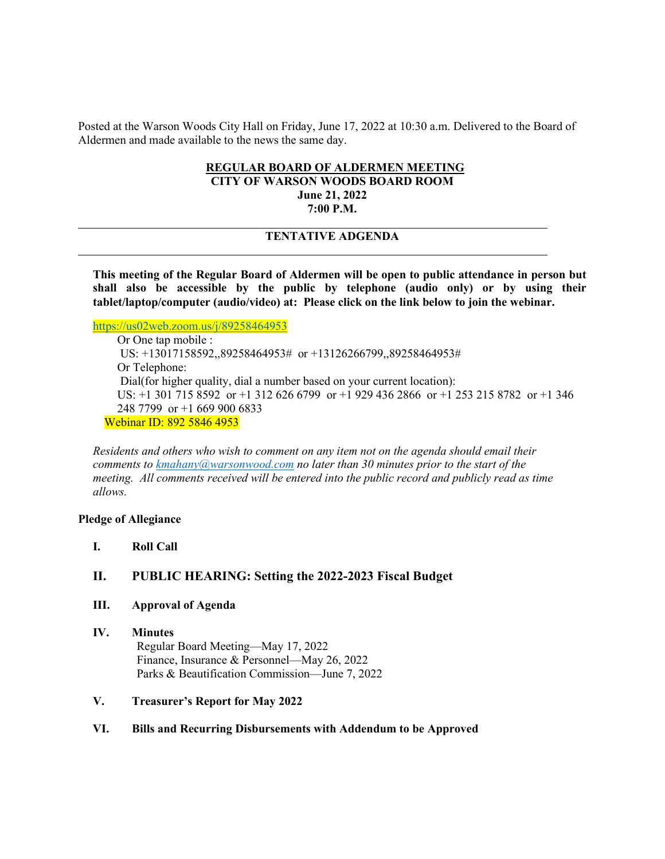Posted at the Warson Woods City Hall on Friday, June 17, 2022 at 10:30 a.m. Delivered to the Board of Aldermen and made available to the news the same day.

# **REGULAR BOARD OF ALDERMEN MEETING**

**CITY OF WARSON WOODS BOARD ROOM June 21, 2022**

**7:00 P.M.**

# **TENTATIVE ADGENDA**

**This meeting of the Regular Board of Aldermen will be open to public attendance in person but shall also be accessible by the public by telephone (audio only) or by using their tablet/laptop/computer (audio/video) at: Please click on the link below to join the webinar.**

<https://us02web.zoom.us/j/89258464953>

Or One tap mobile : US: +13017158592,,89258464953# or +13126266799,,89258464953# Or Telephone: Dial(for higher quality, dial a number based on your current location): US: +1 301 715 8592 or +1 312 626 6799 or +1 929 436 2866 or +1 253 215 8782 or +1 346 248 7799 or +1 669 900 6833 Webinar ID: 892 5846 4953

*Residents and others who wish to comment on any item not on the agenda should email their comments to kmahany@warsonwood.com no later than 30 minutes prior to the start of the meeting. All comments received will be entered into the public record and publicly read as time allows.* 

#### **Pledge of Allegiance**

**I. Roll Call**

#### **II. PUBLIC HEARING: Setting the 2022-2023 Fiscal Budget**

- **III. Approval of Agenda**
- **IV. Minutes** Regular Board Meeting—May 17, 2022 Finance, Insurance & Personnel—May 26, 2022 Parks & Beautification Commission—June 7, 2022

#### **V. Treasurer's Report for May 2022**

#### **VI. Bills and Recurring Disbursements with Addendum to be Approved**